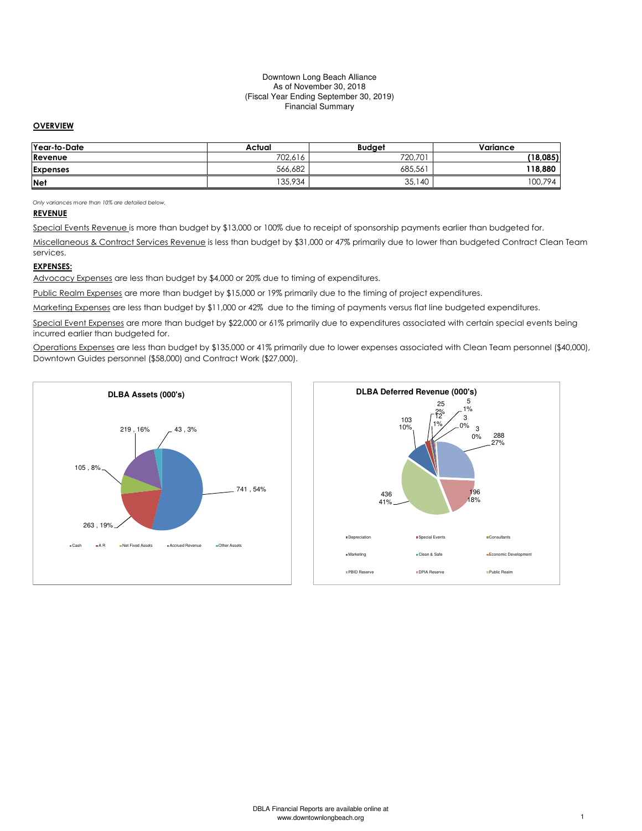#### Downtown Long Beach Alliance As of November 30, 2018 (Fiscal Year Ending September 30, 2019) Financial Summary

## **OVERVIEW**

| Year-to-Date    | Actual  | <b>Budaet</b> | Variance    |
|-----------------|---------|---------------|-------------|
| Revenue         | 702.616 | 720,701       | (18,085)    |
| <b>Expenses</b> | 566.682 | 685,561       | 118,880     |
| <b>Net</b>      | 135,934 | 35,140        | 794<br>00,7 |

Only variances more than 10% are detailed below.

## REVENUE

Special Events Revenue is more than budget by \$13,000 or 100% due to receipt of sponsorship payments earlier than budgeted for.

Miscellaneous & Contract Services Revenue is less than budget by \$31,000 or 47% primarily due to lower than budgeted Contract Clean Team services.

### EXPENSES:

Advocacy Expenses are less than budget by \$4,000 or 20% due to timing of expenditures.

Public Realm Expenses are more than budget by \$15,000 or 19% primarily due to the timing of project expenditures.

Marketing Expenses are less than budget by \$11,000 or 42% due to the timing of payments versus flat line budgeted expenditures.

Special Event Expenses are more than budget by \$22,000 or 61% primarily due to expenditures associated with certain special events being incurred earlier than budgeted for.

Operations Expenses are less than budget by \$135,000 or 41% primarily due to lower expenses associated with Clean Team personnel (\$40,000), Downtown Guides personnel (\$58,000) and Contract Work (\$27,000).

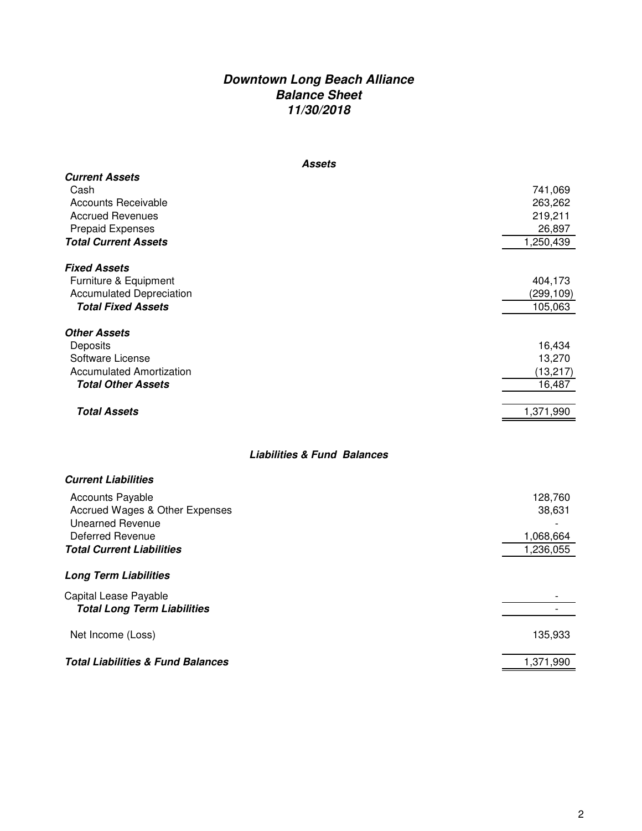# **Downtown Long Beach Alliance Balance Sheet 11/30/2018**

| <b>Assets</b>                                                                                                                                    |                                                      |
|--------------------------------------------------------------------------------------------------------------------------------------------------|------------------------------------------------------|
| <b>Current Assets</b><br>Cash<br><b>Accounts Receivable</b><br><b>Accrued Revenues</b><br><b>Prepaid Expenses</b><br><b>Total Current Assets</b> | 741,069<br>263,262<br>219,211<br>26,897<br>1,250,439 |
| <b>Fixed Assets</b><br>Furniture & Equipment<br><b>Accumulated Depreciation</b><br><b>Total Fixed Assets</b>                                     | 404,173<br>(299, 109)<br>105,063                     |
| <b>Other Assets</b><br>Deposits<br>Software License<br><b>Accumulated Amortization</b><br><b>Total Other Assets</b><br><b>Total Assets</b>       | 16,434<br>13,270<br>(13, 217)<br>16,487<br>1,371,990 |
| <b>Liabilities &amp; Fund Balances</b>                                                                                                           |                                                      |
| <b>Current Liabilities</b>                                                                                                                       |                                                      |
| <b>Accounts Payable</b><br>Accrued Wages & Other Expenses<br><b>Unearned Revenue</b><br>Deferred Revenue<br><b>Total Current Liabilities</b>     | 128,760<br>38,631<br>1,068,664<br>1,236,055          |
| <b>Long Term Liabilities</b>                                                                                                                     |                                                      |
| Capital Lease Payable<br><b>Total Long Term Liabilities</b>                                                                                      | $\overline{\phantom{a}}$                             |
| Net Income (Loss)                                                                                                                                | 135,933                                              |

**Total Liabilities & Fund Balances** 1,371,990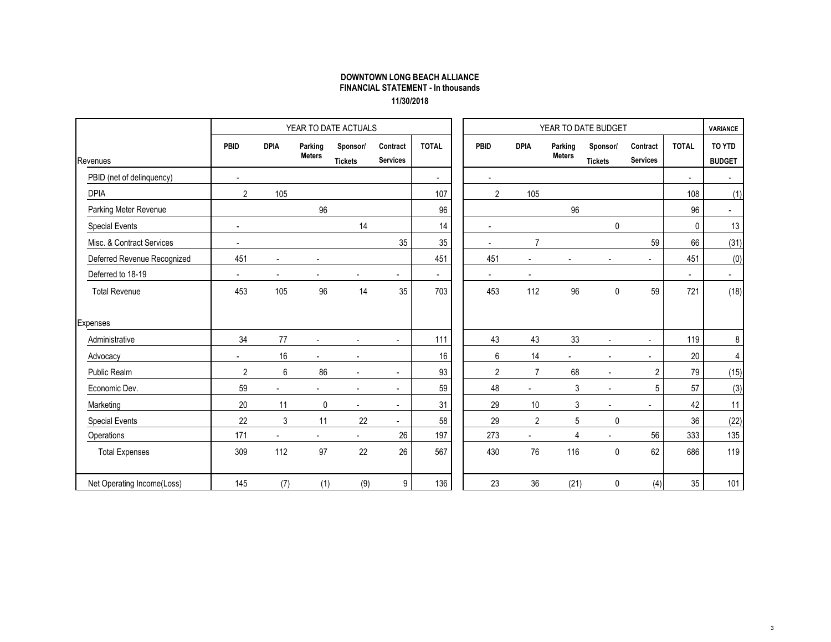## DOWNTOWN LONG BEACH ALLIANCE FINANCIAL STATEMENT - In thousands11/30/2018

|                             |                |                |                          | YEAR TO DATE ACTUALS       |                             |              |                |                      |                          | YEAR TO DATE BUDGET        |                             |              | <b>VARIANCE</b>         |
|-----------------------------|----------------|----------------|--------------------------|----------------------------|-----------------------------|--------------|----------------|----------------------|--------------------------|----------------------------|-----------------------------|--------------|-------------------------|
| Revenues                    | PBID           | <b>DPIA</b>    | Parking<br><b>Meters</b> | Sponsor/<br><b>Tickets</b> | Contract<br><b>Services</b> | <b>TOTAL</b> | PBID           | <b>DPIA</b>          | Parking<br><b>Meters</b> | Sponsor/<br><b>Tickets</b> | Contract<br><b>Services</b> | <b>TOTAL</b> | TO YTD<br><b>BUDGET</b> |
| PBID (net of delinquency)   | $\mathbf{r}$   |                |                          |                            |                             | $\sim$       | $\blacksquare$ |                      |                          |                            |                             | $\sim$       | $\sim$                  |
| <b>DPIA</b>                 | $\overline{2}$ | 105            |                          |                            |                             | 107          | $\overline{2}$ | 105                  |                          |                            |                             | 108          | (1)                     |
| Parking Meter Revenue       |                |                | 96                       |                            |                             | 96           |                |                      | 96                       |                            |                             | 96           | $\blacksquare$          |
| <b>Special Events</b>       | $\blacksquare$ |                |                          | 14                         |                             | 14           |                |                      |                          | 0                          |                             | 0            | 13                      |
| Misc. & Contract Services   | $\blacksquare$ |                |                          |                            | 35                          | 35           |                | $\overline{7}$       |                          |                            | 59                          | 66           | (31)                    |
| Deferred Revenue Recognized | 451            | $\blacksquare$ |                          |                            |                             | 451          | 451            | ÷,                   |                          |                            | ä,                          | 451          | (0)                     |
| Deferred to 18-19           | $\blacksquare$ | $\blacksquare$ | $\overline{\phantom{a}}$ | $\blacksquare$             | $\blacksquare$              | $\sim$       | $\blacksquare$ | $\blacksquare$       |                          |                            |                             | $\sim$       | $\sim$                  |
| <b>Total Revenue</b>        | 453            | 105            | 96                       | 14                         | 35                          | 703          | 453            | 112                  | 96                       | $\mathbf 0$                | 59                          | 721          | (18)                    |
| Expenses                    |                |                |                          |                            |                             |              |                |                      |                          |                            |                             |              |                         |
| Administrative              | 34             | 77             | $\sim$                   | $\mathbf{r}$               | $\overline{a}$              | 111          | 43             | 43                   | 33                       | $\overline{a}$             | $\blacksquare$              | 119          | 8                       |
| Advocacy                    | $\blacksquare$ | 16             |                          | $\blacksquare$             |                             | 16           | 6              | 14                   |                          |                            | $\blacksquare$              | 20           | 4                       |
| <b>Public Realm</b>         | $\overline{2}$ | $6\,$          | 86                       | $\blacksquare$             |                             | 93           | $\overline{2}$ | $\overline{7}$       | 68                       | $\blacksquare$             | $\overline{2}$              | 79           | (15)                    |
| Economic Dev.               | 59             | $\overline{a}$ | $\blacksquare$           | $\blacksquare$             | $\overline{\phantom{a}}$    | 59           | 48             | $\ddot{\phantom{a}}$ | 3                        | $\blacksquare$             | 5                           | 57           | (3)                     |
| Marketing                   | 20             | 11             | 0                        | $\sim$                     | $\sim$                      | 31           | 29             | 10 <sup>°</sup>      | 3                        | $\blacksquare$             | $\overline{\phantom{0}}$    | 42           | 11                      |
| <b>Special Events</b>       | 22             | 3              | 11                       | 22                         | $\blacksquare$              | 58           | 29             | $\overline{2}$       | $\sqrt{5}$               | 0                          |                             | 36           | (22)                    |
| Operations                  | 171            | $\omega$       | $\sim$                   | $\blacksquare$             | 26                          | 197          | 273            | $\blacksquare$       | $\overline{4}$           | ÷.                         | 56                          | 333          | 135                     |
| <b>Total Expenses</b>       | 309            | 112            | 97                       | 22                         | 26                          | 567          | 430            | 76                   | 116                      | $\mathbf 0$                | 62                          | 686          | 119                     |
| Net Operating Income(Loss)  | 145            | (7)            | (1)                      | (9)                        | $\boldsymbol{9}$            | 136          | 23             | 36                   | (21)                     | 0                          | (4)                         | 35           | 101                     |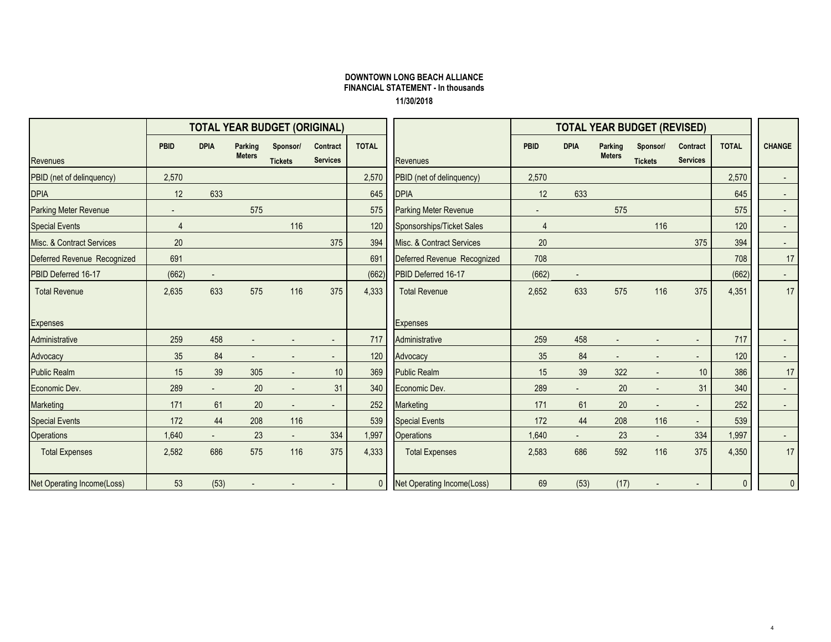## DOWNTOWN LONG BEACH ALLIANCE FINANCIAL STATEMENT - In thousands11/30/2018

|                                   | <b>TOTAL YEAR BUDGET (ORIGINAL)</b> |                          |                                 |                            |                             |              |                                   | <b>TOTAL YEAR BUDGET (REVISED)</b> |                |                          |                            |                             |              |               |
|-----------------------------------|-------------------------------------|--------------------------|---------------------------------|----------------------------|-----------------------------|--------------|-----------------------------------|------------------------------------|----------------|--------------------------|----------------------------|-----------------------------|--------------|---------------|
| Revenues                          | <b>PBID</b>                         | <b>DPIA</b>              | <b>Parking</b><br><b>Meters</b> | Sponsor/<br><b>Tickets</b> | Contract<br><b>Services</b> | <b>TOTAL</b> | <b>Revenues</b>                   | <b>PBID</b>                        | <b>DPIA</b>    | Parking<br><b>Meters</b> | Sponsor/<br><b>Tickets</b> | Contract<br><b>Services</b> | <b>TOTAL</b> | <b>CHANGE</b> |
| PBID (net of delinquency)         | 2,570                               |                          |                                 |                            |                             | 2,570        | PBID (net of delinquency)         | 2,570                              |                |                          |                            |                             | 2,570        |               |
| <b>DPIA</b>                       | 12                                  | 633                      |                                 |                            |                             | 645          | <b>DPIA</b>                       | 12                                 | 633            |                          |                            |                             | 645          |               |
| <b>Parking Meter Revenue</b>      | $\overline{\phantom{a}}$            |                          | 575                             |                            |                             | 575          | <b>Parking Meter Revenue</b>      | $\overline{\phantom{a}}$           |                | 575                      |                            |                             | 575          | $\sim$        |
| <b>Special Events</b>             | $\overline{4}$                      |                          |                                 | 116                        |                             | 120          | Sponsorships/Ticket Sales         | $\overline{4}$                     |                |                          | 116                        |                             | 120          |               |
| Misc. & Contract Services         | 20                                  |                          |                                 |                            | 375                         | 394          | Misc. & Contract Services         | 20                                 |                |                          |                            | 375                         | 394          |               |
| Deferred Revenue Recognized       | 691                                 |                          |                                 |                            |                             | 691          | Deferred Revenue Recognized       | 708                                |                |                          |                            |                             | 708          | 17            |
| PBID Deferred 16-17               | (662)                               | $\overline{\phantom{a}}$ |                                 |                            |                             | (662)        | PBID Deferred 16-17               | (662)                              | $\blacksquare$ |                          |                            |                             | (662)        | $\sim$        |
| <b>Total Revenue</b>              | 2,635                               | 633                      | 575                             | 116                        | 375                         | 4,333        | <b>Total Revenue</b>              | 2,652                              | 633            | 575                      | 116                        | 375                         | 4,351        | 17            |
| Expenses                          |                                     |                          |                                 |                            |                             |              | <b>Expenses</b>                   |                                    |                |                          |                            |                             |              |               |
| Administrative                    | 259                                 | 458                      |                                 |                            |                             | 717          | Administrative                    | 259                                | 458            |                          |                            | $\sim$                      | 717          |               |
| Advocacy                          | 35                                  | 84                       |                                 |                            |                             | 120          | Advocacy                          | 35                                 | 84             |                          |                            |                             | 120          |               |
| <b>Public Realm</b>               | 15                                  | 39                       | 305                             |                            | 10 <sup>°</sup>             | 369          | <b>Public Realm</b>               | 15                                 | 39             | 322                      |                            | 10                          | 386          | 17            |
| Economic Dev.                     | 289                                 | $\blacksquare$           | 20                              | ٠                          | 31                          | 340          | Economic Dev.                     | 289                                | $\blacksquare$ | 20                       | $\sim$                     | 31                          | 340          |               |
| Marketing                         | 171                                 | 61                       | 20                              | $\sim$                     |                             | 252          | Marketing                         | 171                                | 61             | $20\,$                   | $\sim$                     | $\sim$                      | 252          |               |
| <b>Special Events</b>             | 172                                 | 44                       | 208                             | 116                        |                             | 539          | <b>Special Events</b>             | 172                                | 44             | 208                      | 116                        |                             | 539          |               |
| Operations                        | 1,640                               | $\sim$                   | 23                              | $\sim$                     | 334                         | 1,997        | <b>Operations</b>                 | 1,640                              | $\blacksquare$ | 23                       | $\sim$                     | 334                         | 1,997        |               |
| <b>Total Expenses</b>             | 2,582                               | 686                      | 575                             | 116                        | 375                         | 4,333        | <b>Total Expenses</b>             | 2,583                              | 686            | 592                      | 116                        | 375                         | 4,350        | 17            |
| <b>Net Operating Income(Loss)</b> | 53                                  | (53)                     |                                 |                            |                             | $\mathbf{0}$ | <b>Net Operating Income(Loss)</b> | 69                                 | (53)           | (17)                     |                            |                             | $\mathbf{0}$ | $\mathbf{0}$  |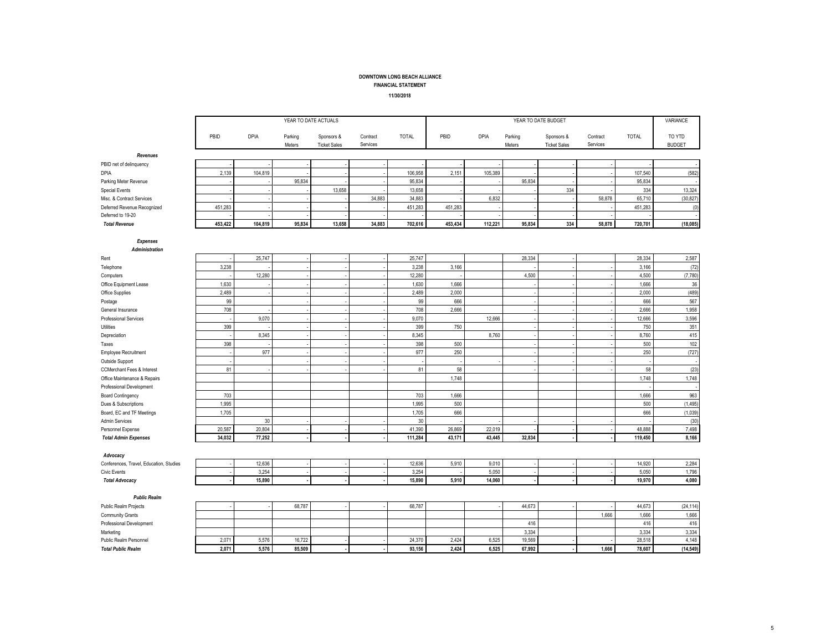## FINANCIAL STATEMENT

11/30/2018

|                                               | YEAR TO DATE ACTUALS |             |                   |                                   |                      |              | YEAR TO DATE BUDGET |             |                   |                                   |                      |              | VARIANCE                |
|-----------------------------------------------|----------------------|-------------|-------------------|-----------------------------------|----------------------|--------------|---------------------|-------------|-------------------|-----------------------------------|----------------------|--------------|-------------------------|
|                                               | PBID                 | <b>DPIA</b> | Parking<br>Meters | Sponsors &<br><b>Ticket Sales</b> | Contract<br>Services | <b>TOTAL</b> | PBID                | <b>DPIA</b> | Parking<br>Meters | Sponsors &<br><b>Ticket Sales</b> | Contract<br>Services | <b>TOTAL</b> | TO YTD<br><b>BUDGET</b> |
| Revenues                                      |                      |             |                   |                                   |                      |              |                     |             |                   |                                   |                      |              |                         |
| PBID net of delinquency                       |                      |             |                   |                                   |                      |              |                     |             |                   |                                   |                      |              |                         |
| <b>DPIA</b>                                   | 2,139                | 104,819     |                   |                                   |                      | 106,958      | 2,151               | 105,389     |                   |                                   |                      | 107,540      | (582)                   |
| Parking Meter Revenue                         |                      |             | 95,834            |                                   |                      | 95,834       |                     |             | 95,834            |                                   |                      | 95,834       |                         |
| <b>Special Events</b>                         |                      |             |                   | 13,658                            |                      | 13,658       |                     |             |                   | 334                               |                      | 334          | 13,324                  |
| Misc. & Contract Services                     |                      |             |                   |                                   | 34,883               | 34,883       |                     | 6,832       |                   |                                   | 58,878               | 65,710       | (30, 827)               |
| Deferred Revenue Recognized                   | 451,283              |             |                   |                                   |                      | 451,283      | 451,283             |             |                   |                                   |                      | 451,283      | (0)                     |
| Deferred to 19-20                             |                      |             |                   |                                   |                      |              |                     |             |                   |                                   |                      |              |                         |
| <b>Total Revenue</b>                          | 453,422              | 104,819     | 95,834            | 13,658                            | 34,883               | 702,616      | 453,434             | 112,221     | 95,834            | 334                               | 58,878               | 720,701      | (18,085)                |
|                                               |                      |             |                   |                                   |                      |              |                     |             |                   |                                   |                      |              |                         |
| <b>Expenses</b><br><b>Administration</b>      |                      |             |                   |                                   |                      |              |                     |             |                   |                                   |                      |              |                         |
| Rent                                          |                      | 25,747      |                   |                                   |                      | 25,747       |                     |             | 28,334            |                                   |                      | 28,334       | 2,587                   |
| Telephone                                     | 3,238                |             |                   |                                   |                      | 3,238        | 3,166               |             |                   |                                   |                      | 3,166        | (72)                    |
| Computers                                     |                      | 12,280      |                   |                                   |                      | 12,280       |                     |             | 4,500             |                                   |                      | 4,500        | (7,780)                 |
| Office Equipment Lease                        | 1,630                |             |                   |                                   |                      | 1,630        | 1,666               |             |                   |                                   |                      | 1,666        | $36\,$                  |
| Office Supplies                               | 2,489                |             |                   |                                   |                      | 2,489        | 2,000               |             |                   |                                   |                      | 2,000        | (489)                   |
| Postage                                       | 99                   |             |                   |                                   |                      | 99           | 666                 |             |                   |                                   |                      | 666          | 567                     |
| General Insurance                             | 708                  |             |                   |                                   |                      | 708          | 2,666               |             |                   |                                   |                      | 2,666        | 1,958                   |
| <b>Professional Services</b>                  |                      | 9,070       |                   |                                   |                      | 9,070        |                     | 12,666      |                   |                                   |                      | 12,666       | 3,596                   |
| Utilities                                     | 399                  |             |                   |                                   |                      | 399          | 750                 |             |                   |                                   |                      | 750          | 351                     |
| Depreciation                                  |                      | 8,345       |                   |                                   |                      | 8,345        |                     | 8,760       |                   |                                   |                      | 8,760        | 415                     |
| Taxes                                         | 398                  | 977         |                   |                                   |                      | 398<br>977   | 500<br>250          |             |                   |                                   |                      | 500<br>250   | 102<br>(727)            |
| <b>Employee Recruitment</b>                   |                      |             |                   |                                   |                      |              |                     |             |                   |                                   |                      |              | $\sim$                  |
| Outside Support<br>CCMerchant Fees & Interest | 81                   |             |                   |                                   |                      | 81           | 58                  |             |                   |                                   |                      | 58           | (23)                    |
| Office Maintenance & Repairs                  |                      |             |                   |                                   |                      |              | 1,748               |             |                   |                                   |                      | 1,748        | 1,748                   |
| Professional Development                      |                      |             |                   |                                   |                      |              |                     |             |                   |                                   |                      |              |                         |
| <b>Board Contingency</b>                      | 703                  |             |                   |                                   |                      | 703          | 1,666               |             |                   |                                   |                      | 1,666        | 963                     |
| Dues & Subscriptions                          | 1,995                |             |                   |                                   |                      | 1,995        | 500                 |             |                   |                                   |                      | 500          | (1, 495)                |
| Board, EC and TF Meetings                     | 1,705                |             |                   |                                   |                      | 1,705        | 666                 |             |                   |                                   |                      | 666          | (1,039)                 |
| <b>Admin Services</b>                         |                      | 30          |                   |                                   |                      | 30           |                     |             |                   |                                   |                      |              | (30)                    |
| Personnel Expense                             | 20,587               | 20,804      |                   |                                   |                      | 41,390       | 26,869              | 22,019      |                   |                                   |                      | 48,888       | 7,498                   |
| <b>Total Admin Expenses</b>                   | 34,032               | 77,252      |                   |                                   |                      | 111,284      | 43,171              | 43,445      | 32,834            |                                   |                      | 119,450      | 8,166                   |
| Advocacy                                      |                      |             |                   |                                   |                      |              |                     |             |                   |                                   |                      |              |                         |
| Conferences, Travel, Education, Studies       |                      | 12,636      |                   |                                   |                      | 12,636       | 5,910               | 9,010       |                   |                                   |                      | 14,920       | 2,284                   |
| Civic Events                                  |                      | 3,254       |                   |                                   |                      | 3,254        |                     | 5,050       |                   |                                   |                      | 5,050        | 1,796                   |
| <b>Total Advocacy</b>                         |                      | 15,890      |                   |                                   |                      | 15,890       | 5,910               | 14,060      |                   |                                   |                      | 19,970       | 4,080                   |
|                                               |                      |             |                   |                                   |                      |              |                     |             |                   |                                   |                      |              |                         |
| <b>Public Realm</b>                           |                      |             |                   |                                   |                      |              |                     |             |                   |                                   |                      |              |                         |
| Public Realm Projects                         |                      |             | 68,787            |                                   |                      | 68,787       |                     |             | 44,673            |                                   |                      | 44,673       | (24, 114)               |
| Community Grants                              |                      |             |                   |                                   |                      |              |                     |             |                   |                                   | 1,666                | 1,666        | 1,666                   |
| Professional Development                      |                      |             |                   |                                   |                      |              |                     |             | 416               |                                   |                      | 416          | 416                     |
| Marketing                                     |                      |             |                   |                                   |                      |              |                     |             | 3,334             |                                   |                      | 3,334        | 3,334                   |
| Public Realm Personnel                        | 2,071                | 5,576       | 16,722            |                                   |                      | 24,370       | 2,424               | 6,525       | 19,569            |                                   |                      | 28,518       | 4,148                   |
| <b>Total Public Realm</b>                     | 2,071                | 5,576       | 85,509            |                                   |                      | 93,156       | 2,424               | 6,525       | 67,992            |                                   | 1,666                | 78,607       | (14, 549)               |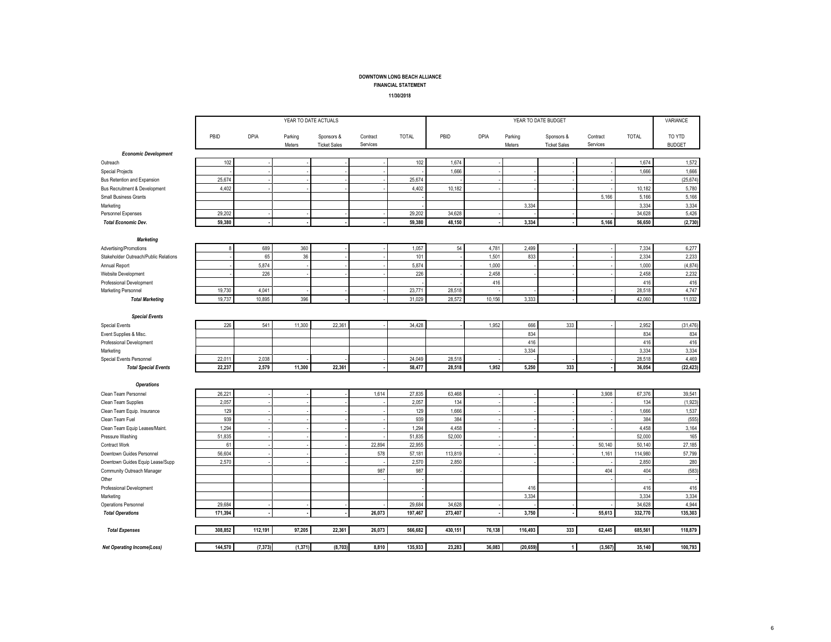#### FINANCIAL STATEMENT

#### 11/30/2018

|                                       |         | YEAR TO DATE ACTUALS |                   |                                   |                      |              |         | YEAR TO DATE BUDGET |                   |                                   |                      |              | VARIANCE                |
|---------------------------------------|---------|----------------------|-------------------|-----------------------------------|----------------------|--------------|---------|---------------------|-------------------|-----------------------------------|----------------------|--------------|-------------------------|
|                                       | PBID    | <b>DPIA</b>          | Parking<br>Meters | Sponsors &<br><b>Ticket Sales</b> | Contract<br>Services | <b>TOTAL</b> | PBID    | <b>DPIA</b>         | Parking<br>Meters | Sponsors &<br><b>Ticket Sales</b> | Contract<br>Services | <b>TOTAL</b> | TO YTD<br><b>BUDGET</b> |
| <b>Economic Development</b>           |         |                      |                   |                                   |                      |              |         |                     |                   |                                   |                      |              |                         |
| Outreach                              | 102     |                      |                   |                                   |                      | 102          | 1,674   |                     |                   |                                   |                      | 1,674        | 1,572                   |
| <b>Special Projects</b>               |         |                      |                   |                                   |                      |              | 1,666   |                     |                   |                                   |                      | 1,666        | 1,666                   |
| Bus Retention and Expansion           | 25,674  |                      |                   |                                   |                      | 25,674       |         |                     |                   |                                   |                      |              | (25.674)                |
| Bus Recruitment & Development         | 4,402   |                      |                   |                                   |                      | 4,402        | 10,182  |                     |                   |                                   |                      | 10,182       | 5,780                   |
| <b>Small Business Grants</b>          |         |                      |                   |                                   |                      |              |         |                     |                   |                                   | 5,166                | 5,166        | 5,166                   |
| Marketing                             |         |                      |                   |                                   |                      |              |         |                     | 3,334             |                                   |                      | 3,334        | 3,334                   |
| Personnel Expenses                    | 29,202  |                      |                   |                                   |                      | 29,202       | 34,628  |                     |                   |                                   |                      | 34,628       | 5,426                   |
| <b>Total Economic Dev.</b>            | 59,380  |                      |                   |                                   |                      | 59,380       | 48.150  |                     | 3,334             |                                   | 5,166                | 56,650       | (2,730)                 |
| <b>Marketing</b>                      |         |                      |                   |                                   |                      |              |         |                     |                   |                                   |                      |              |                         |
| Advertising/Promotions                | 8       | 689                  | 360               |                                   |                      | 1,057        | 54      | 4,781               | 2,499             |                                   |                      | 7,334        | 6,277                   |
| Stakeholder Outreach/Public Relations |         | 65                   | 36                |                                   |                      | 101          |         | 1,501               | 833               |                                   |                      | 2,334        | 2,233                   |
| Annual Report                         |         | 5,874                |                   |                                   |                      | 5,874        |         | 1,000               |                   |                                   |                      | 1.000        | (4, 874)                |
| Website Development                   |         | 226                  |                   |                                   |                      | 226          |         | 2,458               |                   |                                   |                      | 2,458        | 2,232                   |
| Professional Development              |         |                      |                   |                                   |                      |              |         | 416                 |                   |                                   |                      | 416          | 416                     |
| Marketing Personnel                   | 19,730  | 4,041                |                   |                                   |                      | 23,771       | 28,518  |                     |                   |                                   |                      | 28,518       | 4,747                   |
| <b>Total Marketing</b>                | 19.737  | 10.895               | 396               |                                   |                      | 31.029       | 28.572  | 10.156              | 3.333             |                                   |                      | 42.060       | 11,032                  |
| <b>Special Events</b>                 |         |                      |                   |                                   |                      |              |         |                     |                   |                                   |                      |              |                         |
| <b>Special Events</b>                 | 226     | 541                  | 11,300            | 22.361                            |                      | 34.428       |         | 1.952               | 666               | 333                               |                      | 2.952        | (31, 476)               |
| Event Supplies & Misc.                |         |                      |                   |                                   |                      |              |         |                     | 834               |                                   |                      | 834          | 834                     |
| Professional Development              |         |                      |                   |                                   |                      |              |         |                     | 416               |                                   |                      | 416          | 416                     |
| Marketing                             |         |                      |                   |                                   |                      |              |         |                     | 3,334             |                                   |                      | 3,334        | 3,334                   |
| Special Events Personnel              | 22.011  | 2,038                |                   |                                   |                      | 24.049       | 28.518  |                     |                   |                                   |                      | 28,518       | 4,469                   |
| <b>Total Special Events</b>           | 22,237  | 2,579                | 11,300            | 22,361                            |                      | 58,477       | 28,518  | 1,952               | 5,250             | 333                               |                      | 36,054       | (22, 423)               |
| <b>Operations</b>                     |         |                      |                   |                                   |                      |              |         |                     |                   |                                   |                      |              |                         |
| Clean Team Personnel                  | 26,221  |                      |                   |                                   | 1,614                | 27,835       | 63,468  |                     |                   |                                   | 3,908                | 67,376       | 39,541                  |
| Clean Team Supplies                   | 2,057   |                      |                   |                                   |                      | 2,057        | 134     |                     |                   |                                   |                      | 134          | (1, 923)                |
| Clean Team Equip. Insurance           | 129     |                      |                   |                                   |                      | 129          | 1,666   |                     |                   |                                   |                      | 1,666        | 1,537                   |
| Clean Team Fuel                       | 939     |                      |                   |                                   |                      | 939          | 384     |                     |                   |                                   |                      | 384          | (555)                   |
| Clean Team Equip Leases/Maint.        | 1,294   |                      |                   |                                   |                      | 1,294        | 4,458   |                     |                   |                                   |                      | 4,458        | 3,164                   |
| Pressure Washing                      | 51,835  |                      |                   |                                   |                      | 51,835       | 52,000  |                     |                   |                                   |                      | 52,000       | 165                     |
| Contract Work                         | 61      |                      |                   |                                   | 22,894               | 22.955       |         |                     |                   |                                   | 50,140               | 50,140       | 27,185                  |
| Downtown Guides Personnel             | 56,604  |                      |                   |                                   | 578                  | 57,181       | 113,819 |                     |                   |                                   | 1,161                | 114,980      | 57,799                  |
| Downtown Guides Equip Lease/Supp      | 2,570   |                      |                   |                                   |                      | 2,570        | 2,850   |                     |                   |                                   |                      | 2,850        | 280                     |
| Community Outreach Manager            |         |                      |                   |                                   | 987                  | 987          |         |                     |                   |                                   | 404                  | 404          | (583)                   |
| Other                                 |         |                      |                   |                                   |                      |              |         |                     |                   |                                   |                      |              |                         |
| Professional Development              |         |                      |                   |                                   |                      |              |         |                     | 416               |                                   |                      | 416          | 416                     |
| Marketing                             |         |                      |                   |                                   |                      |              |         |                     | 3,334             |                                   |                      | 3,334        | 3,334                   |
| Operations Personnel                  | 29.684  |                      |                   |                                   |                      | 29.684       | 34.628  |                     |                   |                                   |                      | 34.628       | 4.944                   |
| <b>Total Operations</b>               | 171,394 |                      |                   |                                   | 26,073               | 197,467      | 273,407 |                     | 3,750             |                                   | 55,613               | 332,770      | 135,303                 |
| <b>Total Expenses</b>                 | 308,852 | 112,191              | 97,205            | 22,361                            | 26,073               | 566,682      | 430,151 | 76,138              | 116,493           | 333                               | 62,445               | 685,561      | 118,879                 |
| <b>Net Operating Income(Loss)</b>     | 144,570 | (7, 373)             | (1, 371)          | (8,703)                           | 8,810                | 135,933      | 23,283  | 36,083              | (20, 659)         |                                   | (3, 567)             | 35,140       | 100,793                 |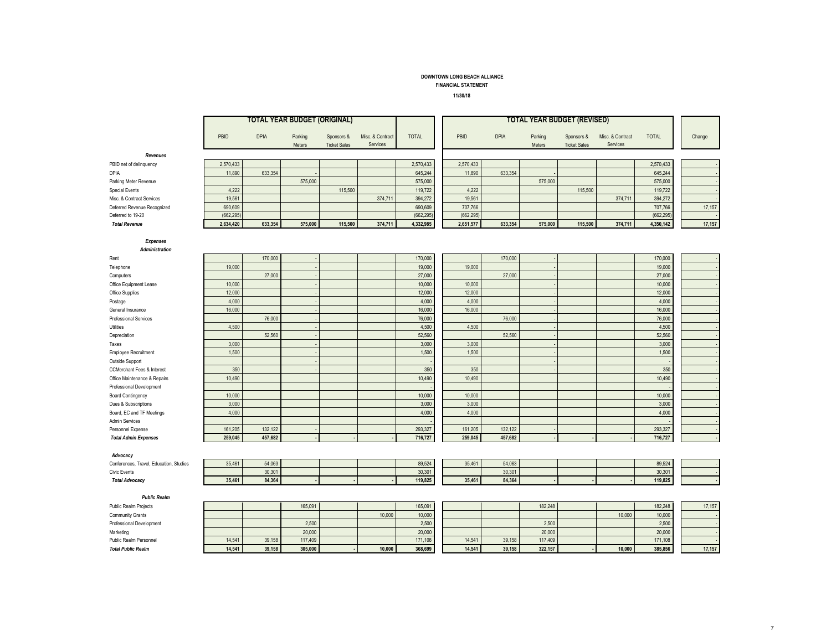FINANCIAL STATEMENT

11/30/18

|                                         |            |         | <b>TOTAL YEAR BUDGET (ORIGINAL)</b> |                                   |                              |              | <b>TOTAL YEAR BUDGET (REVISED)</b> |             |                   |                                   |                              |              |        |
|-----------------------------------------|------------|---------|-------------------------------------|-----------------------------------|------------------------------|--------------|------------------------------------|-------------|-------------------|-----------------------------------|------------------------------|--------------|--------|
|                                         | PBID       | DPIA    | Parking<br>Meters                   | Sponsors &<br><b>Ticket Sales</b> | Misc. & Contract<br>Services | <b>TOTAL</b> | PBID                               | <b>DPIA</b> | Parking<br>Meters | Sponsors &<br><b>Ticket Sales</b> | Misc. & Contract<br>Services | <b>TOTAL</b> | Change |
| Revenues                                |            |         |                                     |                                   |                              |              |                                    |             |                   |                                   |                              |              |        |
| PBID net of delinquency                 | 2,570,433  |         |                                     |                                   |                              | 2,570,433    | 2,570,433                          |             |                   |                                   |                              | 2,570,433    |        |
| DPIA                                    | 11,890     | 633,354 |                                     |                                   |                              | 645,244      | 11,890                             | 633,354     |                   |                                   |                              | 645,244      |        |
| Parking Meter Revenue                   |            |         | 575,000                             |                                   |                              | 575,000      |                                    |             | 575,000           |                                   |                              | 575,000      |        |
| <b>Special Events</b>                   | 4,222      |         |                                     | 115,500                           |                              | 119,722      | 4,222                              |             |                   | 115,500                           |                              | 119,722      |        |
| Misc. & Contract Services               | 19,561     |         |                                     |                                   | 374,711                      | 394,272      | 19,561                             |             |                   |                                   | 374,711                      | 394,272      |        |
| Deferred Revenue Recognized             | 690,609    |         |                                     |                                   |                              | 690,609      | 707,766                            |             |                   |                                   |                              | 707,766      | 17,157 |
| Deferred to 19-20                       | (662, 295) |         |                                     |                                   |                              | (662, 295)   | (662,295                           |             |                   |                                   |                              | (662, 295)   |        |
| <b>Total Revenue</b>                    | 2,634,420  | 633,354 | 575,000                             | 115,500                           | 374,711                      | 4,332,985    | 2,651,577                          | 633,354     | 575,000           | 115,500                           | 374,711                      | 4,350,142    | 17,157 |
| <b>Expenses</b><br>Administration       |            |         |                                     |                                   |                              |              |                                    |             |                   |                                   |                              |              |        |
| Rent                                    |            | 170,000 |                                     |                                   |                              | 170,000      |                                    | 170,000     |                   |                                   |                              | 170,000      |        |
| Telephone                               | 19,000     |         |                                     |                                   |                              | 19,000       | 19,000                             |             |                   |                                   |                              | 19,000       |        |
| Computers                               |            | 27,000  |                                     |                                   |                              | 27,000       |                                    | 27,000      |                   |                                   |                              | 27,000       |        |
| Office Equipment Lease                  | 10,000     |         |                                     |                                   |                              | 10,000       | 10,000                             |             |                   |                                   |                              | 10,000       |        |
| Office Supplies                         | 12,000     |         |                                     |                                   |                              | 12,000       | 12,000                             |             |                   |                                   |                              | 12,000       |        |
| Postage                                 | 4,000      |         |                                     |                                   |                              | 4,000        | 4,000                              |             |                   |                                   |                              | 4,000        |        |
| General Insurance                       | 16,000     |         |                                     |                                   |                              | 16,000       | 16,000                             |             |                   |                                   |                              | 16,000       |        |
| <b>Professional Services</b>            |            | 76,000  |                                     |                                   |                              | 76,000       |                                    | 76,000      |                   |                                   |                              | 76,000       |        |
| <b>Utilities</b>                        | 4,500      |         |                                     |                                   |                              | 4,500        | 4,500                              |             |                   |                                   |                              | 4,500        |        |
| Depreciation                            |            | 52.560  |                                     |                                   |                              | 52,560       |                                    | 52,560      |                   |                                   |                              | 52,560       |        |
| Taxes                                   | 3,000      |         |                                     |                                   |                              | 3,000        | 3,000                              |             |                   |                                   |                              | 3,000        |        |
| <b>Employee Recruitment</b>             | 1,500      |         |                                     |                                   |                              | 1,500        | 1,500                              |             |                   |                                   |                              | 1,500        |        |
| Outside Support                         |            |         |                                     |                                   |                              |              |                                    |             |                   |                                   |                              |              |        |
| <b>CCMerchant Fees &amp; Interest</b>   | 350        |         |                                     |                                   |                              | 350          | 350                                |             |                   |                                   |                              | 350          |        |
| Office Maintenance & Repairs            | 10,490     |         |                                     |                                   |                              | 10,490       | 10,490                             |             |                   |                                   |                              | 10,490       |        |
| Professional Development                |            |         |                                     |                                   |                              |              |                                    |             |                   |                                   |                              |              |        |
| <b>Board Contingency</b>                | 10,000     |         |                                     |                                   |                              | 10,000       | 10,000                             |             |                   |                                   |                              | 10,000       |        |
| Dues & Subscriptions                    | 3,000      |         |                                     |                                   |                              | 3,000        | 3,000                              |             |                   |                                   |                              | 3,000        |        |
| Board, EC and TF Meetings               | 4,000      |         |                                     |                                   |                              | 4,000        | 4,000                              |             |                   |                                   |                              | 4,000        |        |
| <b>Admin Services</b>                   |            |         |                                     |                                   |                              |              |                                    |             |                   |                                   |                              |              |        |
| Personnel Expense                       | 161,205    | 132,122 |                                     |                                   |                              | 293,327      | 161,205                            | 132,122     |                   |                                   |                              | 293,327      |        |
| <b>Total Admin Expenses</b>             | 259,045    | 457,682 |                                     |                                   |                              | 716,727      | 259,045                            | 457,682     |                   |                                   |                              | 716,727      |        |
| Advocacy                                |            |         |                                     |                                   |                              |              |                                    |             |                   |                                   |                              |              |        |
| Conferences, Travel, Education, Studies | 35,461     | 54,063  |                                     |                                   |                              | 89,524       | 35,461                             | 54,063      |                   |                                   |                              | 89,524       |        |
| <b>Civic Events</b>                     |            | 30,301  |                                     |                                   |                              | 30,301       |                                    | 30,301      |                   |                                   |                              | 30,301       |        |
| <b>Total Advocacy</b>                   | 35,461     | 84,364  |                                     |                                   |                              | 119,825      | 35,461                             | 84,364      |                   |                                   |                              | 119,825      |        |
| <b>Public Realm</b>                     |            |         |                                     |                                   |                              |              |                                    |             |                   |                                   |                              |              |        |
| <b>Public Realm Projects</b>            |            |         | 165,091                             |                                   |                              | 165,091      |                                    |             | 182,248           |                                   |                              | 182,248      | 17,157 |
| Community Grants                        |            |         |                                     |                                   | 10,000                       | 10,000       |                                    |             |                   |                                   | 10,000                       | 10,000       |        |
| Professional Development                |            |         | 2,500                               |                                   |                              | 2,500        |                                    |             | 2,500             |                                   |                              | 2,500        |        |
| Marketing                               |            |         | 20,000                              |                                   |                              | 20,000       |                                    |             | 20,000            |                                   |                              | 20,000       |        |
| Public Realm Personnel                  | 14,541     | 39,158  | 117,409                             |                                   |                              | 171,108      | 14,541                             | 39,158      | 117,409           |                                   |                              | 171,108      |        |
| <b>Total Public Realm</b>               | 14,541     | 39,158  | 305,000                             |                                   | 10,000                       | 368,699      | 14,541                             | 39,158      | 322,157           |                                   | 10,000                       | 385,856      | 17,157 |

- -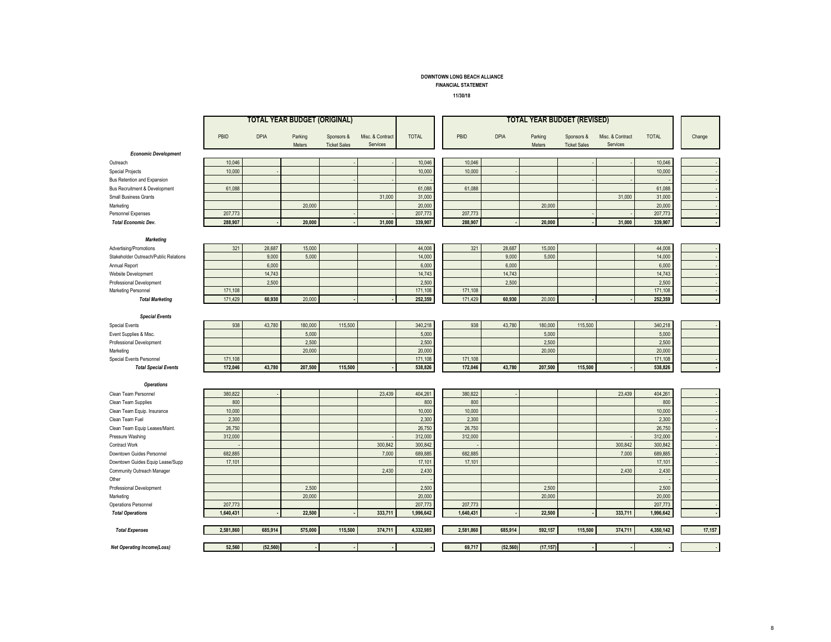#### FINANCIAL STATEMENT

11/30/18

|                                       |           |           | <b>TOTAL YEAR BUDGET (ORIGINAL)</b> |                                   |                              |              | <b>TOTAL YEAR BUDGET (REVISED)</b> |           |             |                   |                                   |                              |              |        |
|---------------------------------------|-----------|-----------|-------------------------------------|-----------------------------------|------------------------------|--------------|------------------------------------|-----------|-------------|-------------------|-----------------------------------|------------------------------|--------------|--------|
|                                       | PBID      | DPIA      | Parking<br><b>Meters</b>            | Sponsors &<br><b>Ticket Sales</b> | Misc. & Contract<br>Services | <b>TOTAL</b> |                                    | PBID      | <b>DPIA</b> | Parking<br>Meters | Sponsors &<br><b>Ticket Sales</b> | Misc. & Contract<br>Services | <b>TOTAL</b> | Change |
| <b>Economic Development</b>           |           |           |                                     |                                   |                              |              |                                    |           |             |                   |                                   |                              |              |        |
| Outreach                              | 10,046    |           |                                     |                                   |                              | 10,046       |                                    | 10,046    |             |                   |                                   |                              | 10,046       |        |
| <b>Special Projects</b>               | 10,000    |           |                                     |                                   |                              | 10,000       |                                    | 10,000    |             |                   |                                   |                              | 10,000       |        |
| Bus Retention and Expansion           |           |           |                                     |                                   |                              |              |                                    |           |             |                   |                                   |                              |              |        |
| Bus Recruitment & Development         | 61,088    |           |                                     |                                   |                              | 61,088       |                                    | 61,088    |             |                   |                                   |                              | 61,088       |        |
| <b>Small Business Grants</b>          |           |           |                                     |                                   | 31,000                       | 31,000       |                                    |           |             |                   |                                   | 31,000                       | 31,000       |        |
| Marketing                             |           |           | 20,000                              |                                   |                              | 20,000       |                                    |           |             | 20,000            |                                   |                              | 20,000       |        |
| Personnel Expenses                    | 207,773   |           |                                     |                                   |                              | 207,773      |                                    | 207,773   |             |                   |                                   |                              | 207,773      |        |
| <b>Total Economic Dev.</b>            | 288,907   |           | 20,000                              |                                   | 31,000                       | 339,907      |                                    | 288,907   |             | 20,000            |                                   | 31,000                       | 339,907      |        |
| <b>Marketing</b>                      |           |           |                                     |                                   |                              |              |                                    |           |             |                   |                                   |                              |              |        |
| Advertising/Promotions                | 321       | 28,687    | 15,000                              |                                   |                              | 44,008       |                                    | 321       | 28,687      | 15,000            |                                   |                              | 44,008       |        |
| Stakeholder Outreach/Public Relations |           | 9,000     | 5,000                               |                                   |                              | 14,000       |                                    |           | 9,000       | 5,000             |                                   |                              | 14,000       |        |
| Annual Report                         |           | 6,000     |                                     |                                   |                              | 6,000        |                                    |           | 6,000       |                   |                                   |                              | 6,000        |        |
| Website Development                   |           | 14,743    |                                     |                                   |                              | 14,743       |                                    |           | 14,743      |                   |                                   |                              | 14,743       |        |
| Professional Development              |           | 2,500     |                                     |                                   |                              | 2,500        |                                    |           | 2,500       |                   |                                   |                              | 2,500        |        |
| Marketing Personnel                   | 171,108   |           |                                     |                                   |                              | 171,108      |                                    | 171,108   |             |                   |                                   |                              | 171,108      |        |
| <b>Total Marketing</b>                | 171,429   | 60,930    | 20,000                              |                                   |                              | 252,359      |                                    | 171,429   | 60,930      | 20,000            |                                   |                              | 252,359      |        |
| <b>Special Events</b>                 |           |           |                                     |                                   |                              |              |                                    |           |             |                   |                                   |                              |              |        |
| <b>Special Events</b>                 | 938       | 43,780    | 180,000                             | 115,500                           |                              | 340,218      |                                    | 938       | 43,780      | 180,000           | 115,500                           |                              | 340,218      |        |
| Event Supplies & Misc.                |           |           | 5.000                               |                                   |                              | 5.000        |                                    |           |             | 5,000             |                                   |                              | 5,000        |        |
| Professional Development              |           |           | 2,500                               |                                   |                              | 2,500        |                                    |           |             | 2,500             |                                   |                              | 2,500        |        |
| Marketing                             |           |           | 20,000                              |                                   |                              | 20,000       |                                    |           |             | 20,000            |                                   |                              | 20,000       |        |
| Special Events Personnel              | 171.108   |           |                                     |                                   |                              | 171,108      |                                    | 171.108   |             |                   |                                   |                              | 171,108      |        |
| <b>Total Special Events</b>           | 172,046   | 43,780    | 207,500                             | 115,500                           |                              | 538,826      |                                    | 172,046   | 43,780      | 207,500           | 115,500                           |                              | 538,826      |        |
| <b>Operations</b>                     |           |           |                                     |                                   |                              |              |                                    |           |             |                   |                                   |                              |              |        |
| Clean Team Personnel                  | 380,822   |           |                                     |                                   | 23,439                       | 404,261      |                                    | 380,822   |             |                   |                                   | 23,439                       | 404,261      |        |
| Clean Team Supplies                   | 800       |           |                                     |                                   |                              | 800          |                                    | 800       |             |                   |                                   |                              | 800          |        |
| Clean Team Equip. Insurance           | 10,000    |           |                                     |                                   |                              | 10,000       |                                    | 10,000    |             |                   |                                   |                              | 10,000       |        |
| Clean Team Fuel                       | 2,300     |           |                                     |                                   |                              | 2,300        |                                    | 2,300     |             |                   |                                   |                              | 2,300        |        |
| Clean Team Equip Leases/Maint.        | 26,750    |           |                                     |                                   |                              | 26,750       |                                    | 26,750    |             |                   |                                   |                              | 26,750       |        |
| Pressure Washing                      | 312,000   |           |                                     |                                   |                              | 312,000      |                                    | 312,000   |             |                   |                                   |                              | 312,000      |        |
| Contract Work                         |           |           |                                     |                                   | 300,842                      | 300,842      |                                    |           |             |                   |                                   | 300,842                      | 300,842      |        |
| Downtown Guides Personnel             | 682,885   |           |                                     |                                   | 7,000                        | 689,885      |                                    | 682,885   |             |                   |                                   | 7,000                        | 689,885      |        |
| Downtown Guides Equip Lease/Supp      | 17,101    |           |                                     |                                   |                              | 17,101       |                                    | 17,101    |             |                   |                                   |                              | 17,101       |        |
| Community Outreach Manager            |           |           |                                     |                                   | 2,430                        | 2,430        |                                    |           |             |                   |                                   | 2,430                        | 2,430        |        |
| Other                                 |           |           |                                     |                                   |                              |              |                                    |           |             |                   |                                   |                              |              |        |
| Professional Development              |           |           | 2,500                               |                                   |                              | 2,500        |                                    |           |             | 2,500             |                                   |                              | 2,500        |        |
| Marketing                             |           |           | 20,000                              |                                   |                              | 20,000       |                                    |           |             | 20,000            |                                   |                              | 20,000       |        |
| Operations Personnel                  | 207,773   |           |                                     |                                   |                              | 207,773      |                                    | 207,773   |             |                   |                                   |                              | 207,773      |        |
| <b>Total Operations</b>               | 1,640,431 |           | 22,500                              |                                   | 333,711                      | 1,996,642    |                                    | 1,640,431 |             | 22,500            |                                   | 333,711                      | 1,996,642    |        |
| <b>Total Expenses</b>                 | 2,581,860 | 685,914   | 575,000                             | 115,500                           | 374,711                      | 4,332,985    |                                    | 2,581,860 | 685,914     | 592,157           | 115,500                           | 374,711                      | 4,350,142    | 17,157 |
|                                       | 52.560    | (52, 560) |                                     |                                   |                              |              |                                    | 69,717    | (52, 560)   | (17, 157)         |                                   |                              |              |        |
| <b>Net Operating Income(Loss)</b>     |           |           |                                     |                                   |                              |              |                                    |           |             |                   |                                   |                              |              |        |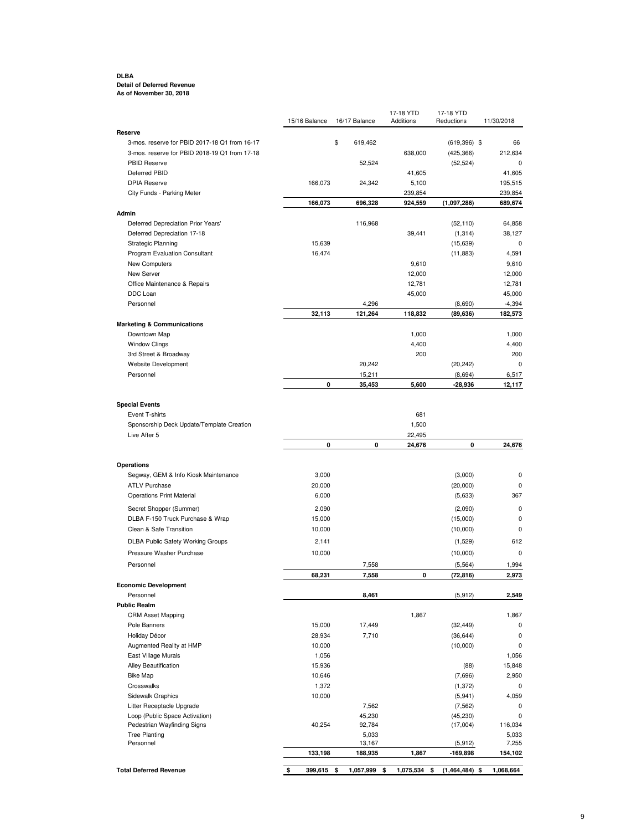#### **DLBA Detail of Deferred Revenue As of November 30, 2018**

|                                                              | 15/16 Balance   | 16/17 Balance   | 17-18 YTD<br>Additions | 17-18 YTD<br>Reductions | 11/30/2018         |
|--------------------------------------------------------------|-----------------|-----------------|------------------------|-------------------------|--------------------|
| Reserve                                                      |                 |                 |                        |                         |                    |
| 3-mos. reserve for PBID 2017-18 Q1 from 16-17                |                 | \$<br>619,462   |                        | $(619, 396)$ \$         | 66                 |
| 3-mos. reserve for PBID 2018-19 Q1 from 17-18                |                 |                 | 638,000                | (425, 366)              | 212,634            |
| PBID Reserve                                                 |                 | 52,524          |                        | (52, 524)               | 0                  |
| Deferred PBID<br><b>DPIA Reserve</b>                         |                 |                 | 41,605                 |                         | 41,605             |
|                                                              | 166,073         | 24,342          | 5,100                  |                         | 195,515            |
| City Funds - Parking Meter                                   | 166,073         | 696,328         | 239,854<br>924,559     | (1,097,286)             | 239,854<br>689,674 |
| Admin                                                        |                 |                 |                        |                         |                    |
| Deferred Depreciation Prior Years'                           |                 | 116,968         |                        | (52, 110)               | 64,858             |
| Deferred Depreciation 17-18                                  |                 |                 | 39,441                 | (1, 314)                | 38,127             |
| <b>Strategic Planning</b>                                    | 15,639          |                 |                        | (15,639)                | 0                  |
| Program Evaluation Consultant                                | 16,474          |                 |                        | (11, 883)               | 4,591              |
| New Computers                                                |                 |                 | 9,610                  |                         | 9,610              |
| New Server                                                   |                 |                 | 12,000                 |                         | 12,000             |
| Office Maintenance & Repairs                                 |                 |                 | 12,781                 |                         | 12,781             |
| DDC Loan                                                     |                 |                 | 45,000                 |                         | 45,000             |
| Personnel                                                    | 32,113          | 4,296           |                        | (8,690)                 | $-4,394$           |
| <b>Marketing &amp; Communications</b>                        |                 | 121,264         | 118,832                | (89, 636)               | 182,573            |
| Downtown Map                                                 |                 |                 | 1,000                  |                         | 1,000              |
| <b>Window Clings</b>                                         |                 |                 | 4,400                  |                         | 4,400              |
| 3rd Street & Broadway                                        |                 |                 | 200                    |                         | 200                |
| Website Development                                          |                 | 20,242          |                        | (20, 242)               | $\mathbf 0$        |
| Personnel                                                    |                 | 15,211          |                        | (8,694)                 | 6,517              |
|                                                              | 0               | 35,453          | 5,600                  | -28,936                 | 12,117             |
| <b>Special Events</b>                                        |                 |                 |                        |                         |                    |
| Event T-shirts                                               |                 |                 | 681                    |                         |                    |
| Sponsorship Deck Update/Template Creation                    |                 |                 | 1,500                  |                         |                    |
| Live After 5                                                 |                 |                 | 22,495                 |                         |                    |
|                                                              | 0               | 0               | 24,676                 | 0                       | 24,676             |
|                                                              |                 |                 |                        |                         |                    |
| Operations                                                   |                 |                 |                        |                         |                    |
| Segway, GEM & Info Kiosk Maintenance<br><b>ATLV Purchase</b> | 3,000           |                 |                        | (3,000)                 | 0<br>0             |
| <b>Operations Print Material</b>                             | 20,000<br>6,000 |                 |                        | (20,000)<br>(5,633)     | 367                |
|                                                              |                 |                 |                        |                         |                    |
| Secret Shopper (Summer)                                      | 2,090           |                 |                        | (2,090)                 | 0                  |
| DLBA F-150 Truck Purchase & Wrap                             | 15,000          |                 |                        | (15,000)                | 0                  |
| Clean & Safe Transition                                      | 10,000          |                 |                        | (10,000)                | $\mathbf 0$        |
| <b>DLBA Public Safety Working Groups</b>                     | 2,141           |                 |                        | (1,529)                 | 612                |
| Pressure Washer Purchase                                     | 10,000          |                 |                        | (10,000)                | $\mathbf 0$        |
| Personnel                                                    |                 | 7,558           |                        | (5, 564)                | 1,994              |
| <b>Economic Development</b>                                  | 68,231          | 7,558           | 0                      | (72, 816)               | 2,973              |
| Personnel                                                    |                 | 8,461           |                        | (5, 912)                | 2,549              |
| <b>Public Realm</b>                                          |                 |                 |                        |                         |                    |
| <b>CRM Asset Mapping</b>                                     |                 |                 | 1,867                  |                         | 1,867              |
| Pole Banners                                                 | 15,000          | 17,449          |                        | (32, 449)               | 0                  |
| Holiday Décor                                                | 28,934          | 7,710           |                        | (36, 644)               | 0                  |
| Augmented Reality at HMP                                     | 10,000          |                 |                        | (10,000)                | 0                  |
| East Village Murals                                          | 1,056           |                 |                        |                         | 1,056              |
| Alley Beautification                                         | 15,936          |                 |                        | (88)                    | 15,848             |
| <b>Bike Map</b>                                              | 10,646          |                 |                        | (7,696)                 | 2,950              |
| Crosswalks<br>Sidewalk Graphics                              | 1,372<br>10,000 |                 |                        | (1, 372)<br>(5, 941)    | 0<br>4,059         |
| Litter Receptacle Upgrade                                    |                 | 7,562           |                        | (7, 562)                | 0                  |
| Loop (Public Space Activation)                               |                 | 45,230          |                        | (45, 230)               | $\mathbf 0$        |
| Pedestrian Wayfinding Signs                                  | 40,254          | 92,784          |                        | (17,004)                | 116,034            |
| <b>Tree Planting</b>                                         |                 | 5,033           |                        |                         | 5,033              |
| Personnel                                                    |                 | 13,167          |                        | (5, 912)                | 7,255              |
|                                                              | 133,198         | 188,935         | 1,867                  | -169,898                | 154,102            |
| <b>Total Deferred Revenue</b>                                | \$<br>399,615   | \$<br>1,057,999 | 1,075,534<br>\$        | $(1,464,484)$ \$<br>\$  | 1,068,664          |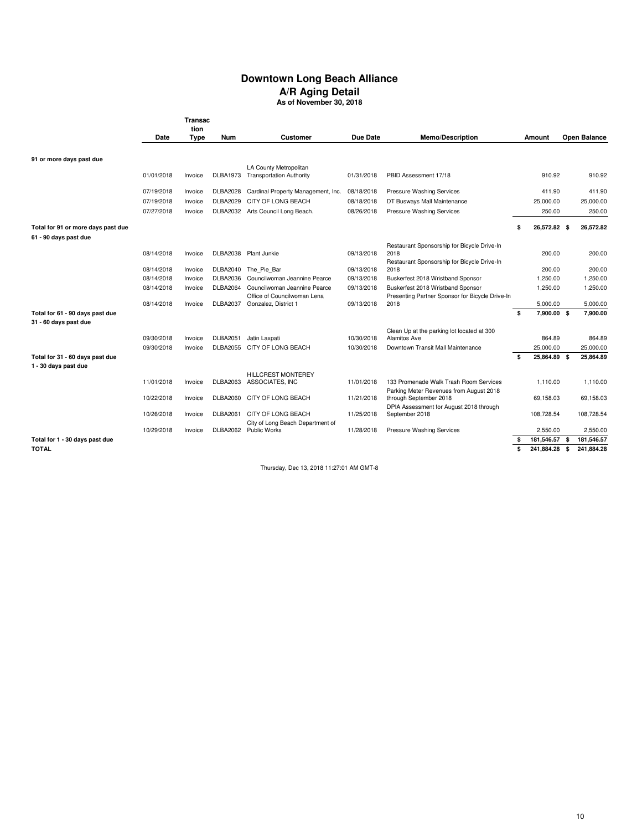# **Downtown Long Beach Alliance A/R Aging Detail**

**As of November 30, 2018**

|                                                          |            | <b>Transac</b><br>tion |                 |                                              |            |                                                                                   |                                 |      |                        |
|----------------------------------------------------------|------------|------------------------|-----------------|----------------------------------------------|------------|-----------------------------------------------------------------------------------|---------------------------------|------|------------------------|
|                                                          | Date       | <b>Type</b>            | Num             | Customer                                     | Due Date   | Memo/Description                                                                  | Amount                          |      | <b>Open Balance</b>    |
|                                                          |            |                        |                 |                                              |            |                                                                                   |                                 |      |                        |
| 91 or more days past due                                 |            |                        |                 | LA County Metropolitan                       |            |                                                                                   |                                 |      |                        |
|                                                          | 01/01/2018 | Invoice                |                 | DLBA1973 Transportation Authority            | 01/31/2018 | PBID Assessment 17/18                                                             | 910.92                          |      | 910.92                 |
|                                                          | 07/19/2018 | Invoice                | <b>DLBA2028</b> | Cardinal Property Management, Inc.           | 08/18/2018 | Pressure Washing Services                                                         | 411.90                          |      | 411.90                 |
|                                                          | 07/19/2018 | Invoice                | DLBA2029        | CITY OF LONG BEACH                           | 08/18/2018 | DT Busways Mall Maintenance                                                       | 25,000.00                       |      | 25.000.00              |
|                                                          | 07/27/2018 | Invoice                |                 | DLBA2032 Arts Council Long Beach.            | 08/26/2018 | Pressure Washing Services                                                         | 250.00                          |      | 250.00                 |
| Total for 91 or more days past due                       |            |                        |                 |                                              |            |                                                                                   | \$<br>26,572.82 \$              |      | 26,572.82              |
| 61 - 90 days past due                                    |            |                        |                 |                                              |            |                                                                                   |                                 |      |                        |
|                                                          |            |                        |                 |                                              |            | Restaurant Sponsorship for Bicycle Drive-In                                       |                                 |      |                        |
|                                                          | 08/14/2018 | Invoice                |                 | DLBA2038 Plant Junkie                        | 09/13/2018 | 2018<br>Restaurant Sponsorship for Bicycle Drive-In                               | 200.00                          |      | 200.00                 |
|                                                          | 08/14/2018 | Invoice                |                 | DLBA2040 The Pie Bar                         | 09/13/2018 | 2018                                                                              | 200.00                          |      | 200.00                 |
|                                                          | 08/14/2018 | Invoice                | <b>DLBA2036</b> | Councilwoman Jeannine Pearce                 | 09/13/2018 | Buskerfest 2018 Wristband Sponsor                                                 | 1,250.00                        |      | 1,250.00               |
|                                                          | 08/14/2018 | Invoice                | <b>DLBA2064</b> | Councilwoman Jeannine Pearce                 | 09/13/2018 | Buskerfest 2018 Wristband Sponsor                                                 | 1,250.00                        |      | 1,250.00               |
|                                                          |            |                        |                 | Office of Councilwoman Lena                  |            | Presenting Partner Sponsor for Bicycle Drive-In                                   |                                 |      |                        |
|                                                          | 08/14/2018 | Invoice                | <b>DLBA2037</b> | Gonzalez, District 1                         | 09/13/2018 | 2018                                                                              | 5,000.00                        |      | 5.000.00               |
| Total for 61 - 90 days past due<br>31 - 60 days past due |            |                        |                 |                                              |            |                                                                                   | \$<br>7,900.00 \$               |      | 7.900.00               |
|                                                          |            |                        |                 |                                              |            | Clean Up at the parking lot located at 300                                        |                                 |      |                        |
|                                                          | 09/30/2018 | Invoice                | <b>DLBA2051</b> | Jatin Laxpati<br>DLBA2055 CITY OF LONG BEACH | 10/30/2018 | Alamitos Ave                                                                      | 864.89                          |      | 864.89                 |
| Total for 31 - 60 days past due                          | 09/30/2018 | Invoice                |                 |                                              | 10/30/2018 | Downtown Transit Mall Maintenance                                                 | \$<br>25,000.00<br>25,864.89 \$ |      | 25,000.00<br>25,864.89 |
| 1 - 30 days past due                                     |            |                        |                 |                                              |            |                                                                                   |                                 |      |                        |
|                                                          |            |                        |                 | <b>HILLCREST MONTEREY</b>                    |            |                                                                                   |                                 |      |                        |
|                                                          | 11/01/2018 | Invoice                |                 | DLBA2063 ASSOCIATES, INC                     | 11/01/2018 | 133 Promenade Walk Trash Room Services<br>Parking Meter Revenues from August 2018 | 1.110.00                        |      | 1.110.00               |
|                                                          | 10/22/2018 | Invoice                |                 | DLBA2060 CITY OF LONG BEACH                  | 11/21/2018 | through September 2018                                                            | 69,158.03                       |      | 69,158.03              |
|                                                          | 10/26/2018 | Invoice                | <b>DLBA2061</b> | CITY OF LONG BEACH                           | 11/25/2018 | DPIA Assessment for August 2018 through<br>September 2018                         | 108,728.54                      |      | 108,728.54             |
|                                                          |            |                        |                 | City of Long Beach Department of             |            |                                                                                   |                                 |      |                        |
|                                                          | 10/29/2018 | Invoice                |                 | DLBA2062 Public Works                        | 11/28/2018 | Pressure Washing Services                                                         | 2.550.00                        |      | 2.550.00               |
| Total for 1 - 30 days past due                           |            |                        |                 |                                              |            |                                                                                   | \$<br>181,546.57 \$             |      | 181,546.57             |
| <b>TOTAL</b>                                             |            |                        |                 |                                              |            |                                                                                   | \$<br>241,884.28                | - \$ | 241,884.28             |

Thursday, Dec 13, 2018 11:27:01 AM GMT-8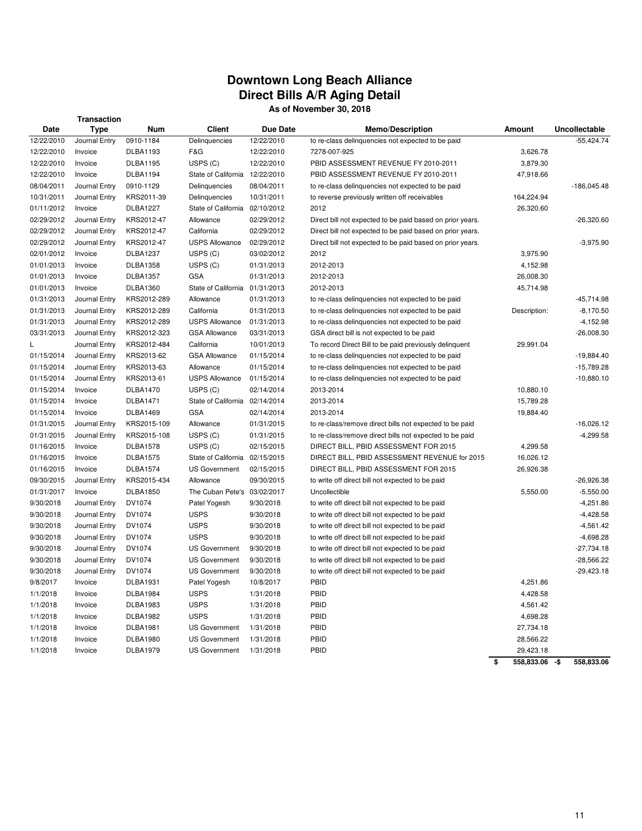## **Downtown Long Beach Alliance Direct Bills A/R Aging Detail As of November 30, 2018**

|             | <b>Transaction</b> |                 |                                |                 |                                                           |               |               |
|-------------|--------------------|-----------------|--------------------------------|-----------------|-----------------------------------------------------------|---------------|---------------|
| <b>Date</b> | <b>Type</b>        | Num             | <b>Client</b>                  | <b>Due Date</b> | <b>Memo/Description</b>                                   | <b>Amount</b> | Uncollectable |
| 12/22/2010  | Journal Entry      | 0910-1184       | Delinquencies                  | 12/22/2010      | to re-class delinguencies not expected to be paid         |               | $-55,424.74$  |
| 12/22/2010  | Invoice            | <b>DLBA1193</b> | F&G                            | 12/22/2010      | 7278-007-925                                              | 3,626.78      |               |
| 12/22/2010  | Invoice            | <b>DLBA1195</b> | USPS (C)                       | 12/22/2010      | PBID ASSESSMENT REVENUE FY 2010-2011                      | 3,879.30      |               |
| 12/22/2010  | Invoice            | <b>DLBA1194</b> | State of California 12/22/2010 |                 | PBID ASSESSMENT REVENUE FY 2010-2011                      | 47,918.66     |               |
| 08/04/2011  | Journal Entry      | 0910-1129       | Delinquencies                  | 08/04/2011      | to re-class delinquencies not expected to be paid         |               | $-186,045.48$ |
| 10/31/2011  | Journal Entry      | KRS2011-39      | Delinquencies                  | 10/31/2011      | to reverse previously written off receivables             | 164,224.94    |               |
| 01/11/2012  | Invoice            | <b>DLBA1227</b> | State of California 02/10/2012 |                 | 2012                                                      | 26,320.60     |               |
| 02/29/2012  | Journal Entry      | KRS2012-47      | Allowance                      | 02/29/2012      | Direct bill not expected to be paid based on prior years. |               | $-26,320.60$  |
| 02/29/2012  | Journal Entry      | KRS2012-47      | California                     | 02/29/2012      | Direct bill not expected to be paid based on prior years. |               |               |
| 02/29/2012  | Journal Entry      | KRS2012-47      | <b>USPS Allowance</b>          | 02/29/2012      | Direct bill not expected to be paid based on prior years. |               | $-3,975.90$   |
| 02/01/2012  | Invoice            | <b>DLBA1237</b> | USPS (C)                       | 03/02/2012      | 2012                                                      | 3,975.90      |               |
| 01/01/2013  | Invoice            | <b>DLBA1358</b> | USPS (C)                       | 01/31/2013      | 2012-2013                                                 | 4,152.98      |               |
| 01/01/2013  | Invoice            | <b>DLBA1357</b> | <b>GSA</b>                     | 01/31/2013      | 2012-2013                                                 | 26,008.30     |               |
| 01/01/2013  | Invoice            | <b>DLBA1360</b> | State of California 01/31/2013 |                 | 2012-2013                                                 | 45,714.98     |               |
| 01/31/2013  | Journal Entry      | KRS2012-289     | Allowance                      | 01/31/2013      | to re-class delinquencies not expected to be paid         |               | $-45,714.98$  |
| 01/31/2013  | Journal Entry      | KRS2012-289     | California                     | 01/31/2013      | to re-class delinguencies not expected to be paid         | Description:  | $-8,170.50$   |
| 01/31/2013  | Journal Entry      | KRS2012-289     | <b>USPS Allowance</b>          | 01/31/2013      | to re-class delinquencies not expected to be paid         |               | $-4,152.98$   |
| 03/31/2013  | Journal Entry      | KRS2012-323     | <b>GSA Allowance</b>           | 03/31/2013      | GSA direct bill is not expected to be paid                |               | $-26,008.30$  |
| L           | Journal Entry      | KRS2012-484     | California                     | 10/01/2013      | To record Direct Bill to be paid previously delinquent    | 29,991.04     |               |
| 01/15/2014  | Journal Entry      | KRS2013-62      | <b>GSA Allowance</b>           | 01/15/2014      | to re-class delinquencies not expected to be paid         |               | $-19,884.40$  |
| 01/15/2014  | Journal Entry      | KRS2013-63      | Allowance                      | 01/15/2014      | to re-class delinquencies not expected to be paid         |               | $-15,789.28$  |
| 01/15/2014  | Journal Entry      | KRS2013-61      | <b>USPS Allowance</b>          | 01/15/2014      | to re-class delinquencies not expected to be paid         |               | $-10,880.10$  |
| 01/15/2014  | Invoice            | <b>DLBA1470</b> | USPS (C)                       | 02/14/2014      | 2013-2014                                                 | 10,880.10     |               |
| 01/15/2014  | Invoice            | <b>DLBA1471</b> | State of California 02/14/2014 |                 | 2013-2014                                                 | 15,789.28     |               |
| 01/15/2014  | Invoice            | <b>DLBA1469</b> | GSA                            | 02/14/2014      | 2013-2014                                                 | 19,884.40     |               |
| 01/31/2015  | Journal Entry      | KRS2015-109     | Allowance                      | 01/31/2015      | to re-class/remove direct bills not expected to be paid   |               | $-16,026.12$  |
| 01/31/2015  | Journal Entry      | KRS2015-108     | USPS (C)                       | 01/31/2015      | to re-class/remove direct bills not expected to be paid   |               | $-4,299.58$   |
| 01/16/2015  | Invoice            | <b>DLBA1578</b> | USPS (C)                       | 02/15/2015      | DIRECT BILL, PBID ASSESSMENT FOR 2015                     | 4,299.58      |               |
| 01/16/2015  | Invoice            | <b>DLBA1575</b> | State of California            | 02/15/2015      | DIRECT BILL, PBID ASSESSMENT REVENUE for 2015             | 16,026.12     |               |
| 01/16/2015  | Invoice            | <b>DLBA1574</b> | <b>US Government</b>           | 02/15/2015      | DIRECT BILL, PBID ASSESSMENT FOR 2015                     | 26,926.38     |               |
| 09/30/2015  | Journal Entry      | KRS2015-434     | Allowance                      | 09/30/2015      | to write off direct bill not expected to be paid          |               | $-26,926.38$  |
| 01/31/2017  | Invoice            | <b>DLBA1850</b> | The Cuban Pete's 03/02/2017    |                 | Uncollectible                                             | 5,550.00      | $-5,550.00$   |
| 9/30/2018   | Journal Entry      | DV1074          | Patel Yogesh                   | 9/30/2018       | to write off direct bill not expected to be paid          |               | $-4,251.86$   |
| 9/30/2018   | Journal Entry      | DV1074          | <b>USPS</b>                    | 9/30/2018       | to write off direct bill not expected to be paid          |               | $-4,428.58$   |
| 9/30/2018   | Journal Entry      | DV1074          | <b>USPS</b>                    | 9/30/2018       | to write off direct bill not expected to be paid          |               | $-4,561.42$   |
| 9/30/2018   | Journal Entry      | DV1074          | <b>USPS</b>                    | 9/30/2018       | to write off direct bill not expected to be paid          |               | $-4,698.28$   |
| 9/30/2018   | Journal Entry      | DV1074          | <b>US Government</b>           | 9/30/2018       | to write off direct bill not expected to be paid          |               | $-27,734.18$  |
| 9/30/2018   | Journal Entry      | DV1074          | <b>US Government</b>           | 9/30/2018       | to write off direct bill not expected to be paid          |               | $-28,566.22$  |
| 9/30/2018   | Journal Entry      | DV1074          | <b>US Government</b>           | 9/30/2018       | to write off direct bill not expected to be paid          |               | $-29,423.18$  |
| 9/8/2017    | Invoice            | <b>DLBA1931</b> | Patel Yogesh                   | 10/8/2017       | PBID                                                      | 4,251.86      |               |
| 1/1/2018    | Invoice            | <b>DLBA1984</b> | <b>USPS</b>                    | 1/31/2018       | PBID                                                      | 4,428.58      |               |
| 1/1/2018    | Invoice            | <b>DLBA1983</b> | <b>USPS</b>                    | 1/31/2018       | PBID                                                      | 4,561.42      |               |
| 1/1/2018    | Invoice            | <b>DLBA1982</b> | <b>USPS</b>                    | 1/31/2018       | PBID                                                      | 4,698.28      |               |

1/1/2018 Invoice DLBA1981 US Government 1/31/2018 PBID 27,734.18 1/1/2018 Invoice DLBA1980 US Government 1/31/2018 PBID 28,566.22

1/1/2018 Invoice DLBA1979 US Government 1/31/2018 PBID 29,423.18

**\$ 558,833.06 -\$ 558,833.06**